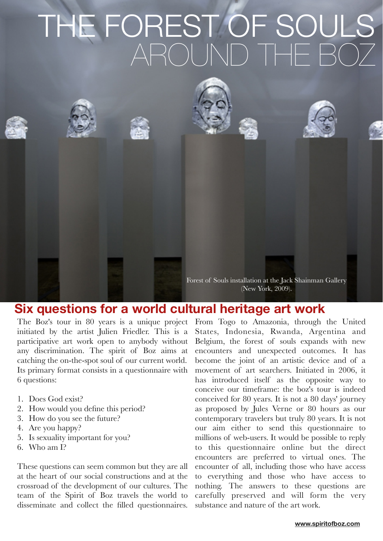# THE FOREST OF SOUL<br>AROUND THE BO



#### **Six questions for a world cultural heritage art work**

The Boz's tour in 80 years is a unique project initiated by the artist Julien Friedler. This is a participative art work open to anybody without any discrimination. The spirit of Boz aims at catching the on-the-spot soul of our current world. Its primary format consists in a questionnaire with 6 questions:

- 1. Does God exist?
- 2. How would you define this period?
- 3. How do you see the future?
- 4. Are you happy?
- 5. Is sexuality important for you?
- 6. Who am I?

These questions can seem common but they are all at the heart of our social constructions and at the crossroad of the development of our cultures. The team of the Spirit of Boz travels the world to disseminate and collect the filled questionnaires.

From Togo to Amazonia, through the United States, Indonesia, Rwanda, Argentina and Belgium, the forest of souls expands with new encounters and unexpected outcomes. It has become the joint of an artistic device and of a movement of art searchers. Initiated in 2006, it has introduced itself as the opposite way to conceive our timeframe: the boz's tour is indeed conceived for 80 years. It is not a 80 days' journey as proposed by Jules Verne or 80 hours as our contemporary travelers but truly 80 years. It is not our aim either to send this questionnaire to millions of web-users. It would be possible to reply to this questionnaire online but the direct encounters are preferred to virtual ones. The encounter of all, including those who have access to everything and those who have access to nothing. The answers to these questions are carefully preserved and will form the very substance and nature of the art work.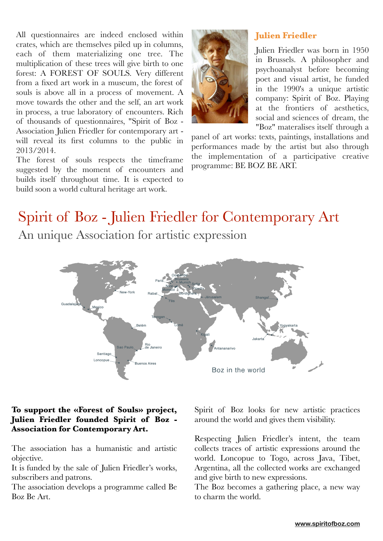All questionnaires are indeed enclosed within crates, which are themselves piled up in columns, each of them materializing one tree. The multiplication of these trees will give birth to one forest: A FOREST OF SOULS. Very different from a fixed art work in a museum, the forest of souls is above all in a process of movement. A move towards the other and the self, an art work in process, a true laboratory of encounters. Rich of thousands of questionnaires, "Spirit of Boz - Association Julien Friedler for contemporary art will reveal its first columns to the public in 2013/2014.

The forest of souls respects the timeframe suggested by the moment of encounters and builds itself throughout time. It is expected to build soon a world cultural heritage art work.



#### **Julien Friedler**

Julien Friedler was born in 1950 in Brussels. A philosopher and psychoanalyst before becoming poet and visual artist, he funded in the 1990's a unique artistic company: Spirit of Boz. Playing at the frontiers of aesthetics, social and sciences of dream, the "Boz" materalises itself through a

panel of art works: texts, paintings, installations and performances made by the artist but also through the implementation of a participative creative programme: BE BOZ BE ART.

# Spirit of Boz - Julien Friedler for Contemporary Art An unique Association for artistic expression



#### **To support the «Forest of Souls» project, Julien Friedler founded Spirit of Boz - Association for Contemporary Art.**

The association has a humanistic and artistic objective.

It is funded by the sale of Julien Friedler's works, subscribers and patrons.

The association develops a programme called Be Boz Be Art.

Spirit of Boz looks for new artistic practices around the world and gives them visibility.

Respecting Julien Friedler's intent, the team collects traces of artistic expressions around the world. Loncopue to Togo, across Java, Tibet, Argentina, all the collected works are exchanged and give birth to new expressions.

The Boz becomes a gathering place, a new way to charm the world.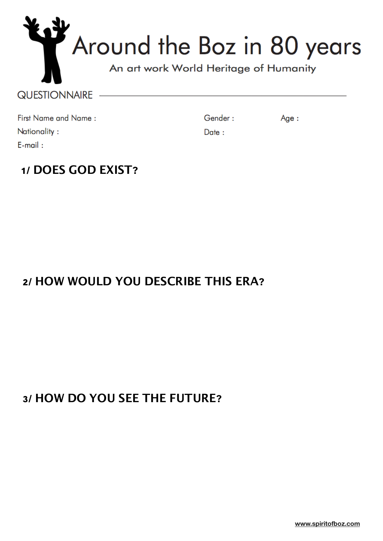| Around the Boz in 80 years |  |  |  |
|----------------------------|--|--|--|
|                            |  |  |  |

#### QUESTIONNAIRE -

First Name and Name: Nationality:  $E$ -mail:

Gender:

Age:

Date:

#### **1/ DOES GOD EXIST?**

## **2/ HOW WOULD YOU DESCRIBE THIS ERA?**

## **3/ HOW DO YOU SEE THE FUTURE?**